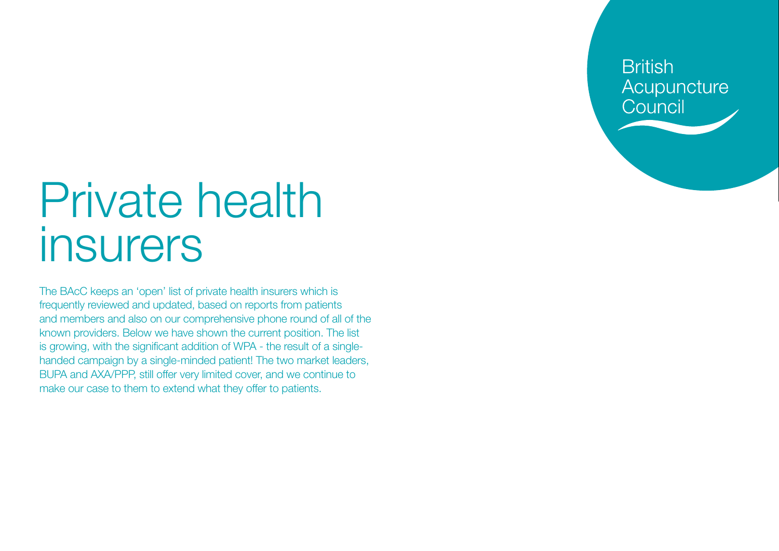**British** Acupuncture Council

## Private health insurers

The BAcC keeps an 'open' list of private health insurers which is frequently reviewed and updated, based on reports from patients and members and also on our comprehensive phone round of all of the known providers. Below we have shown the current position. The list is growing, with the significant addition of WPA - the result of a singlehanded campaign by a single-minded patient! The two market leaders, BUPA and AXA/PPP, still offer very limited cover, and we continue to make our case to them to extend what they offer to patients.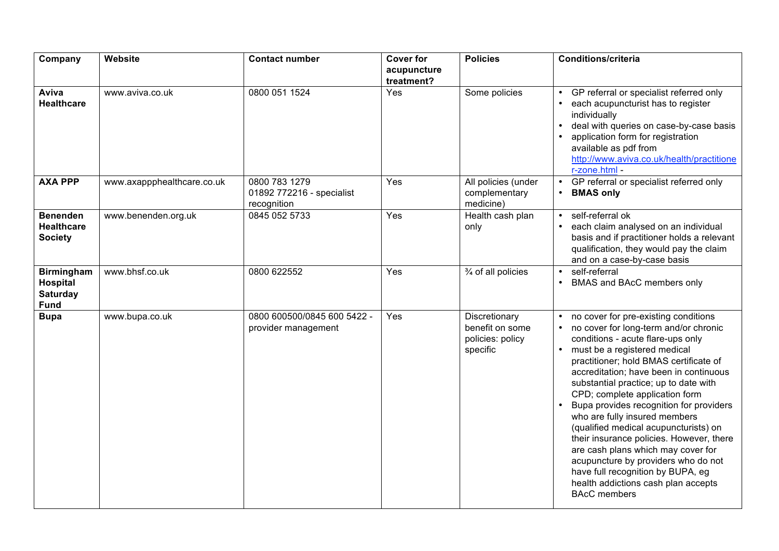| Company                                                                | Website                    | <b>Contact number</b>                                     | <b>Cover for</b><br>acupuncture<br>treatment? | <b>Policies</b>                                                  | <b>Conditions/criteria</b>                                                                                                                                                                                                                                                                                                                                                                                                                                                                                                                                                                                                                                         |
|------------------------------------------------------------------------|----------------------------|-----------------------------------------------------------|-----------------------------------------------|------------------------------------------------------------------|--------------------------------------------------------------------------------------------------------------------------------------------------------------------------------------------------------------------------------------------------------------------------------------------------------------------------------------------------------------------------------------------------------------------------------------------------------------------------------------------------------------------------------------------------------------------------------------------------------------------------------------------------------------------|
| Aviva<br><b>Healthcare</b>                                             | www.aviva.co.uk            | 0800 051 1524                                             | Yes                                           | Some policies                                                    | GP referral or specialist referred only<br>each acupuncturist has to register<br>individually<br>deal with queries on case-by-case basis<br>application form for registration<br>available as pdf from<br>http://www.aviva.co.uk/health/practitione<br>r-zone.html -                                                                                                                                                                                                                                                                                                                                                                                               |
| <b>AXA PPP</b>                                                         | www.axappphealthcare.co.uk | 0800 783 1279<br>01892 772216 - specialist<br>recognition | Yes                                           | All policies (under<br>complementary<br>medicine)                | GP referral or specialist referred only<br>$\bullet$<br><b>BMAS only</b>                                                                                                                                                                                                                                                                                                                                                                                                                                                                                                                                                                                           |
| <b>Benenden</b><br><b>Healthcare</b><br><b>Society</b>                 | www.benenden.org.uk        | 0845 052 5733                                             | Yes                                           | Health cash plan<br>only                                         | self-referral ok<br>$\bullet$<br>each claim analysed on an individual<br>basis and if practitioner holds a relevant<br>qualification, they would pay the claim<br>and on a case-by-case basis                                                                                                                                                                                                                                                                                                                                                                                                                                                                      |
| <b>Birmingham</b><br><b>Hospital</b><br><b>Saturday</b><br><b>Fund</b> | www.bhsf.co.uk             | 0800 622552                                               | Yes                                           | 3/4 of all policies                                              | self-referral<br>BMAS and BAcC members only                                                                                                                                                                                                                                                                                                                                                                                                                                                                                                                                                                                                                        |
| <b>Bupa</b>                                                            | www.bupa.co.uk             | 0800 600500/0845 600 5422 -<br>provider management        | Yes                                           | Discretionary<br>benefit on some<br>policies: policy<br>specific | no cover for pre-existing conditions<br>no cover for long-term and/or chronic<br>conditions - acute flare-ups only<br>must be a registered medical<br>practitioner; hold BMAS certificate of<br>accreditation; have been in continuous<br>substantial practice; up to date with<br>CPD; complete application form<br>Bupa provides recognition for providers<br>who are fully insured members<br>(qualified medical acupuncturists) on<br>their insurance policies. However, there<br>are cash plans which may cover for<br>acupuncture by providers who do not<br>have full recognition by BUPA, eg<br>health addictions cash plan accepts<br><b>BAcC</b> members |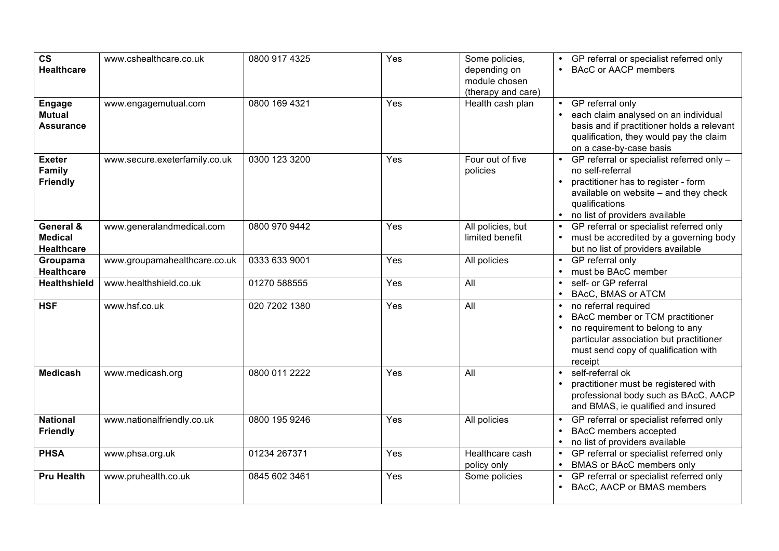| $\mathsf{cs}$<br><b>Healthcare</b>                 | www.cshealthcare.co.uk        | 0800 917 4325 | Yes | Some policies,<br>depending on<br>module chosen<br>(therapy and care) | GP referral or specialist referred only<br><b>BAcC or AACP members</b>                                                                                                                            |
|----------------------------------------------------|-------------------------------|---------------|-----|-----------------------------------------------------------------------|---------------------------------------------------------------------------------------------------------------------------------------------------------------------------------------------------|
| <b>Engage</b><br><b>Mutual</b><br><b>Assurance</b> | www.engagemutual.com          | 0800 169 4321 | Yes | Health cash plan                                                      | GP referral only<br>$\bullet$<br>each claim analysed on an individual<br>basis and if practitioner holds a relevant<br>qualification, they would pay the claim<br>on a case-by-case basis         |
| <b>Exeter</b><br>Family<br><b>Friendly</b>         | www.secure.exeterfamily.co.uk | 0300 123 3200 | Yes | Four out of five<br>policies                                          | GP referral or specialist referred only -<br>no self-referral<br>practitioner has to register - form<br>available on website - and they check<br>qualifications<br>no list of providers available |
| General &<br><b>Medical</b><br><b>Healthcare</b>   | www.generalandmedical.com     | 0800 970 9442 | Yes | All policies, but<br>limited benefit                                  | GP referral or specialist referred only<br>must be accredited by a governing body<br>but no list of providers available                                                                           |
| Groupama<br><b>Healthcare</b>                      | www.groupamahealthcare.co.uk  | 0333 633 9001 | Yes | All policies                                                          | GP referral only<br>must be BAcC member                                                                                                                                                           |
| <b>Healthshield</b>                                | www.healthshield.co.uk        | 01270 588555  | Yes | All                                                                   | self- or GP referral<br>BAcC, BMAS or ATCM                                                                                                                                                        |
| <b>HSF</b>                                         | www.hsf.co.uk                 | 020 7202 1380 | Yes | All                                                                   | no referral required<br>BAcC member or TCM practitioner<br>no requirement to belong to any<br>particular association but practitioner<br>must send copy of qualification with<br>receipt          |
| <b>Medicash</b>                                    | www.medicash.org              | 0800 011 2222 | Yes | All                                                                   | self-referral ok<br>practitioner must be registered with<br>professional body such as BAcC, AACP<br>and BMAS, ie qualified and insured                                                            |
| <b>National</b><br><b>Friendly</b>                 | www.nationalfriendly.co.uk    | 0800 195 9246 | Yes | All policies                                                          | GP referral or specialist referred only<br>BAcC members accepted<br>no list of providers available                                                                                                |
| <b>PHSA</b>                                        | www.phsa.org.uk               | 01234 267371  | Yes | Healthcare cash<br>policy only                                        | GP referral or specialist referred only<br>BMAS or BAcC members only                                                                                                                              |
| <b>Pru Health</b>                                  | www.pruhealth.co.uk           | 0845 602 3461 | Yes | Some policies                                                         | GP referral or specialist referred only<br>$\bullet$<br>BAcC, AACP or BMAS members                                                                                                                |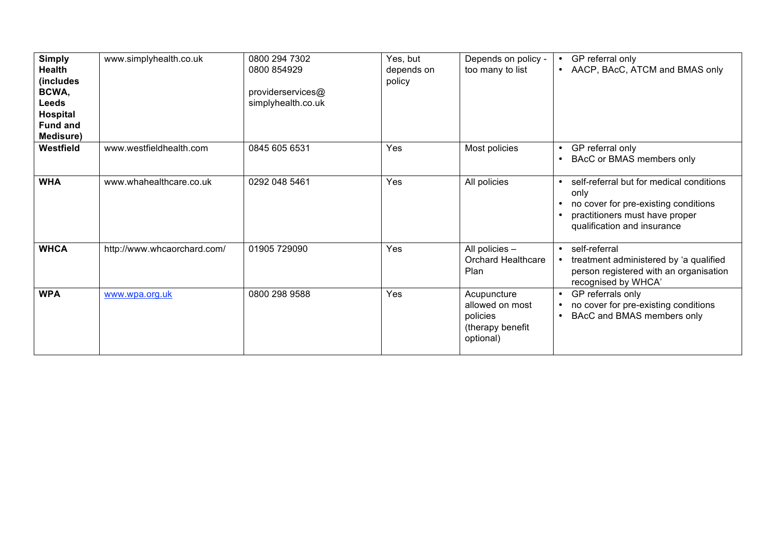| <b>Simply</b><br><b>Health</b><br>(includes<br>BCWA,<br><b>Leeds</b><br><b>Hospital</b><br><b>Fund and</b><br>Medisure) | www.simplyhealth.co.uk      | 0800 294 7302<br>0800 854929<br>providerservices@<br>simplyhealth.co.uk | Yes, but<br>depends on<br>policy | Depends on policy -<br>too many to list                                     | GP referral only<br>$\bullet$<br>AACP, BAcC, ATCM and BMAS only<br>$\bullet$                                                                                           |
|-------------------------------------------------------------------------------------------------------------------------|-----------------------------|-------------------------------------------------------------------------|----------------------------------|-----------------------------------------------------------------------------|------------------------------------------------------------------------------------------------------------------------------------------------------------------------|
| Westfield                                                                                                               | www.westfieldhealth.com     | 0845 605 6531                                                           | Yes                              | Most policies                                                               | GP referral only<br>$\bullet$<br>BAcC or BMAS members only<br>$\bullet$                                                                                                |
| <b>WHA</b>                                                                                                              | www.whahealthcare.co.uk     | 0292 048 5461                                                           | Yes                              | All policies                                                                | self-referral but for medical conditions<br>$\bullet$<br>only<br>no cover for pre-existing conditions<br>practitioners must have proper<br>qualification and insurance |
| <b>WHCA</b>                                                                                                             | http://www.whcaorchard.com/ | 01905 729090                                                            | Yes                              | All policies -<br><b>Orchard Healthcare</b><br>Plan                         | self-referral<br>$\bullet$<br>treatment administered by 'a qualified<br>person registered with an organisation<br>recognised by WHCA'                                  |
| <b>WPA</b>                                                                                                              | www.wpa.org.uk              | 0800 298 9588                                                           | Yes                              | Acupuncture<br>allowed on most<br>policies<br>(therapy benefit<br>optional) | GP referrals only<br>$\bullet$<br>no cover for pre-existing conditions<br>BAcC and BMAS members only<br>$\bullet$                                                      |